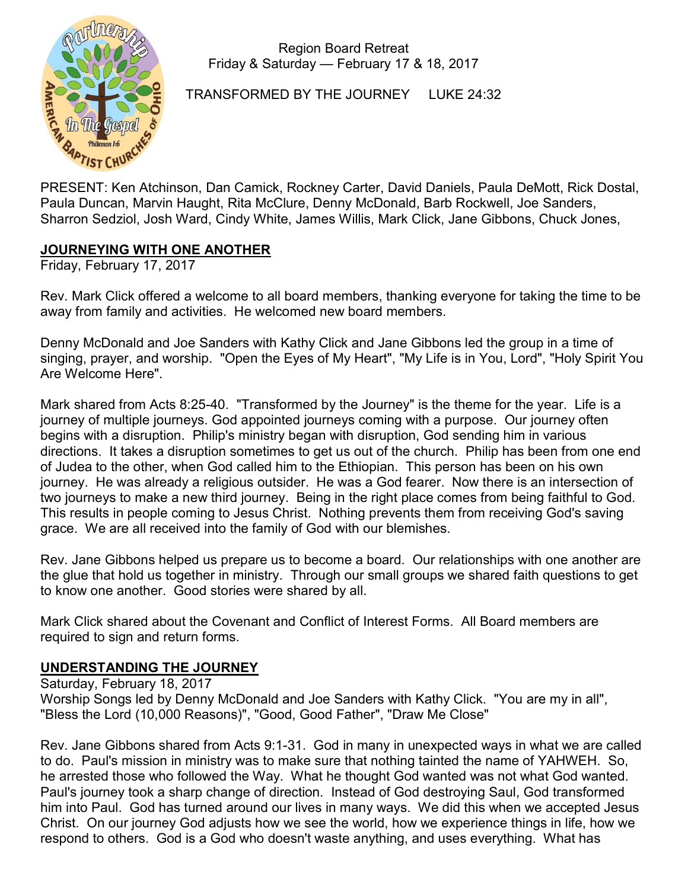

Region Board Retreat Friday & Saturday — February 17 & 18, 2017

TRANSFORMED BY THE JOURNEY LUKE 24:32

PRESENT: Ken Atchinson, Dan Camick, Rockney Carter, David Daniels, Paula DeMott, Rick Dostal, Paula Duncan, Marvin Haught, Rita McClure, Denny McDonald, Barb Rockwell, Joe Sanders, Sharron Sedziol, Josh Ward, Cindy White, James Willis, Mark Click, Jane Gibbons, Chuck Jones,

# JOURNEYING WITH ONE ANOTHER

Friday, February 17, 2017

Rev. Mark Click offered a welcome to all board members, thanking everyone for taking the time to be away from family and activities. He welcomed new board members.

Denny McDonald and Joe Sanders with Kathy Click and Jane Gibbons led the group in a time of singing, prayer, and worship. "Open the Eyes of My Heart", "My Life is in You, Lord", "Holy Spirit You Are Welcome Here".

Mark shared from Acts 8:25-40. "Transformed by the Journey" is the theme for the year. Life is a journey of multiple journeys. God appointed journeys coming with a purpose. Our journey often begins with a disruption. Philip's ministry began with disruption, God sending him in various directions. It takes a disruption sometimes to get us out of the church. Philip has been from one end of Judea to the other, when God called him to the Ethiopian. This person has been on his own journey. He was already a religious outsider. He was a God fearer. Now there is an intersection of two journeys to make a new third journey. Being in the right place comes from being faithful to God. This results in people coming to Jesus Christ. Nothing prevents them from receiving God's saving grace. We are all received into the family of God with our blemishes.

Rev. Jane Gibbons helped us prepare us to become a board. Our relationships with one another are the glue that hold us together in ministry. Through our small groups we shared faith questions to get to know one another. Good stories were shared by all.

Mark Click shared about the Covenant and Conflict of Interest Forms. All Board members are required to sign and return forms.

## UNDERSTANDING THE JOURNEY

Saturday, February 18, 2017 Worship Songs led by Denny McDonald and Joe Sanders with Kathy Click. "You are my in all", "Bless the Lord (10,000 Reasons)", "Good, Good Father", "Draw Me Close"

Rev. Jane Gibbons shared from Acts 9:1-31. God in many in unexpected ways in what we are called to do. Paul's mission in ministry was to make sure that nothing tainted the name of YAHWEH. So, he arrested those who followed the Way. What he thought God wanted was not what God wanted. Paul's journey took a sharp change of direction. Instead of God destroying Saul, God transformed him into Paul. God has turned around our lives in many ways. We did this when we accepted Jesus Christ. On our journey God adjusts how we see the world, how we experience things in life, how we respond to others. God is a God who doesn't waste anything, and uses everything. What has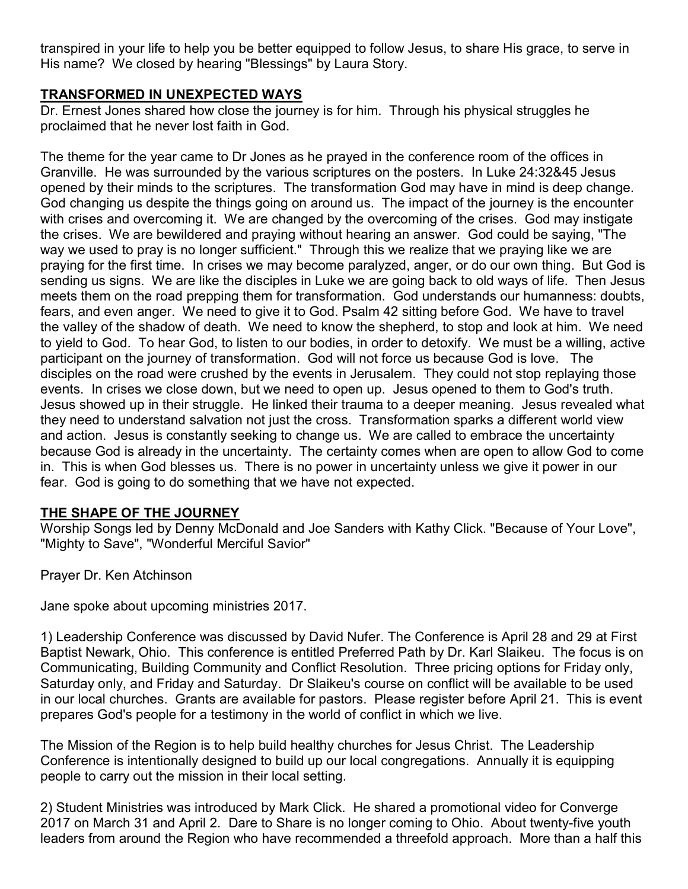transpired in your life to help you be better equipped to follow Jesus, to share His grace, to serve in His name? We closed by hearing "Blessings" by Laura Story.

# TRANSFORMED IN UNEXPECTED WAYS

Dr. Ernest Jones shared how close the journey is for him. Through his physical struggles he proclaimed that he never lost faith in God.

The theme for the year came to Dr Jones as he prayed in the conference room of the offices in Granville. He was surrounded by the various scriptures on the posters. In Luke 24:32&45 Jesus opened by their minds to the scriptures. The transformation God may have in mind is deep change. God changing us despite the things going on around us. The impact of the journey is the encounter with crises and overcoming it. We are changed by the overcoming of the crises. God may instigate the crises. We are bewildered and praying without hearing an answer. God could be saying, "The way we used to pray is no longer sufficient." Through this we realize that we praying like we are praying for the first time. In crises we may become paralyzed, anger, or do our own thing. But God is sending us signs. We are like the disciples in Luke we are going back to old ways of life. Then Jesus meets them on the road prepping them for transformation. God understands our humanness: doubts, fears, and even anger. We need to give it to God. Psalm 42 sitting before God. We have to travel the valley of the shadow of death. We need to know the shepherd, to stop and look at him. We need to yield to God. To hear God, to listen to our bodies, in order to detoxify. We must be a willing, active participant on the journey of transformation. God will not force us because God is love. The disciples on the road were crushed by the events in Jerusalem. They could not stop replaying those events. In crises we close down, but we need to open up. Jesus opened to them to God's truth. Jesus showed up in their struggle. He linked their trauma to a deeper meaning. Jesus revealed what they need to understand salvation not just the cross. Transformation sparks a different world view and action. Jesus is constantly seeking to change us. We are called to embrace the uncertainty because God is already in the uncertainty. The certainty comes when are open to allow God to come in. This is when God blesses us. There is no power in uncertainty unless we give it power in our fear. God is going to do something that we have not expected.

## THE SHAPE OF THE JOURNEY

Worship Songs led by Denny McDonald and Joe Sanders with Kathy Click. "Because of Your Love", "Mighty to Save", "Wonderful Merciful Savior"

Prayer Dr. Ken Atchinson

Jane spoke about upcoming ministries 2017.

1) Leadership Conference was discussed by David Nufer. The Conference is April 28 and 29 at First Baptist Newark, Ohio. This conference is entitled Preferred Path by Dr. Karl Slaikeu. The focus is on Communicating, Building Community and Conflict Resolution. Three pricing options for Friday only, Saturday only, and Friday and Saturday. Dr Slaikeu's course on conflict will be available to be used in our local churches. Grants are available for pastors. Please register before April 21. This is event prepares God's people for a testimony in the world of conflict in which we live.

The Mission of the Region is to help build healthy churches for Jesus Christ. The Leadership Conference is intentionally designed to build up our local congregations. Annually it is equipping people to carry out the mission in their local setting.

2) Student Ministries was introduced by Mark Click. He shared a promotional video for Converge 2017 on March 31 and April 2. Dare to Share is no longer coming to Ohio. About twenty-five youth leaders from around the Region who have recommended a threefold approach. More than a half this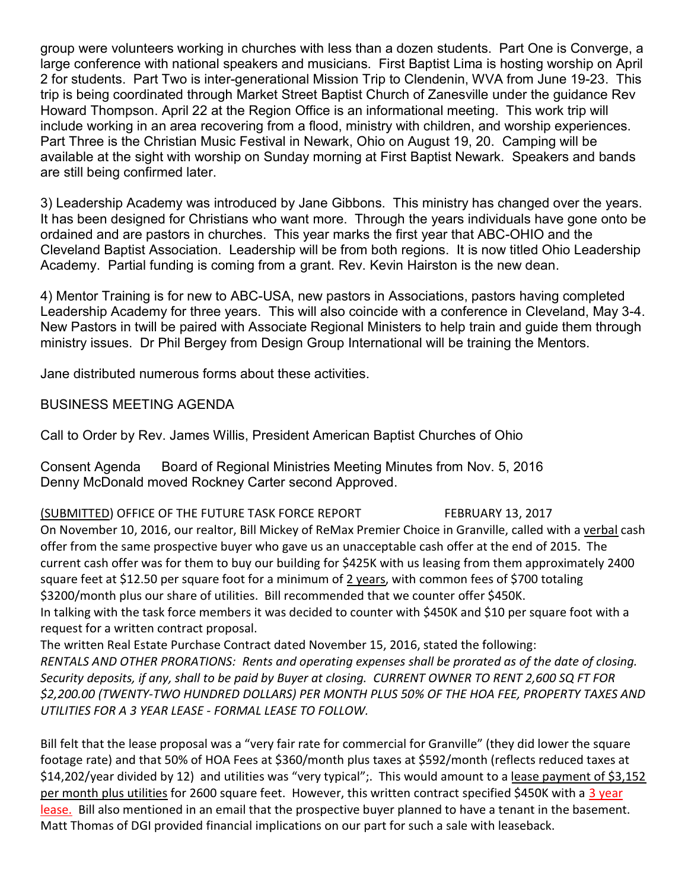group were volunteers working in churches with less than a dozen students. Part One is Converge, a large conference with national speakers and musicians. First Baptist Lima is hosting worship on April 2 for students. Part Two is inter-generational Mission Trip to Clendenin, WVA from June 19-23. This trip is being coordinated through Market Street Baptist Church of Zanesville under the guidance Rev Howard Thompson. April 22 at the Region Office is an informational meeting. This work trip will include working in an area recovering from a flood, ministry with children, and worship experiences. Part Three is the Christian Music Festival in Newark, Ohio on August 19, 20. Camping will be available at the sight with worship on Sunday morning at First Baptist Newark. Speakers and bands are still being confirmed later.

3) Leadership Academy was introduced by Jane Gibbons. This ministry has changed over the years. It has been designed for Christians who want more. Through the years individuals have gone onto be ordained and are pastors in churches. This year marks the first year that ABC-OHIO and the Cleveland Baptist Association. Leadership will be from both regions. It is now titled Ohio Leadership Academy. Partial funding is coming from a grant. Rev. Kevin Hairston is the new dean.

4) Mentor Training is for new to ABC-USA, new pastors in Associations, pastors having completed Leadership Academy for three years. This will also coincide with a conference in Cleveland, May 3-4. New Pastors in twill be paired with Associate Regional Ministers to help train and guide them through ministry issues. Dr Phil Bergey from Design Group International will be training the Mentors.

Jane distributed numerous forms about these activities.

## BUSINESS MEETING AGENDA

Call to Order by Rev. James Willis, President American Baptist Churches of Ohio

Consent Agenda Board of Regional Ministries Meeting Minutes from Nov. 5, 2016 Denny McDonald moved Rockney Carter second Approved.

(SUBMITTED) OFFICE OF THE FUTURE TASK FORCE REPORT FEBRUARY 13, 2017

On November 10, 2016, our realtor, Bill Mickey of ReMax Premier Choice in Granville, called with a verbal cash offer from the same prospective buyer who gave us an unacceptable cash offer at the end of 2015. The current cash offer was for them to buy our building for \$425K with us leasing from them approximately 2400 square feet at \$12.50 per square foot for a minimum of 2 years, with common fees of \$700 totaling \$3200/month plus our share of utilities. Bill recommended that we counter offer \$450K. In talking with the task force members it was decided to counter with \$450K and \$10 per square foot with a request for a written contract proposal.

The written Real Estate Purchase Contract dated November 15, 2016, stated the following: RENTALS AND OTHER PRORATIONS: Rents and operating expenses shall be prorated as of the date of closing. Security deposits, if any, shall to be paid by Buyer at closing. CURRENT OWNER TO RENT 2,600 SQ FT FOR \$2,200.00 (TWENTY-TWO HUNDRED DOLLARS) PER MONTH PLUS 50% OF THE HOA FEE, PROPERTY TAXES AND UTILITIES FOR A 3 YEAR LEASE - FORMAL LEASE TO FOLLOW.

Bill felt that the lease proposal was a "very fair rate for commercial for Granville" (they did lower the square footage rate) and that 50% of HOA Fees at \$360/month plus taxes at \$592/month (reflects reduced taxes at \$14,202/year divided by 12) and utilities was "very typical";. This would amount to a lease payment of \$3,152 per month plus utilities for 2600 square feet. However, this written contract specified \$450K with a 3 year lease. Bill also mentioned in an email that the prospective buyer planned to have a tenant in the basement. Matt Thomas of DGI provided financial implications on our part for such a sale with leaseback.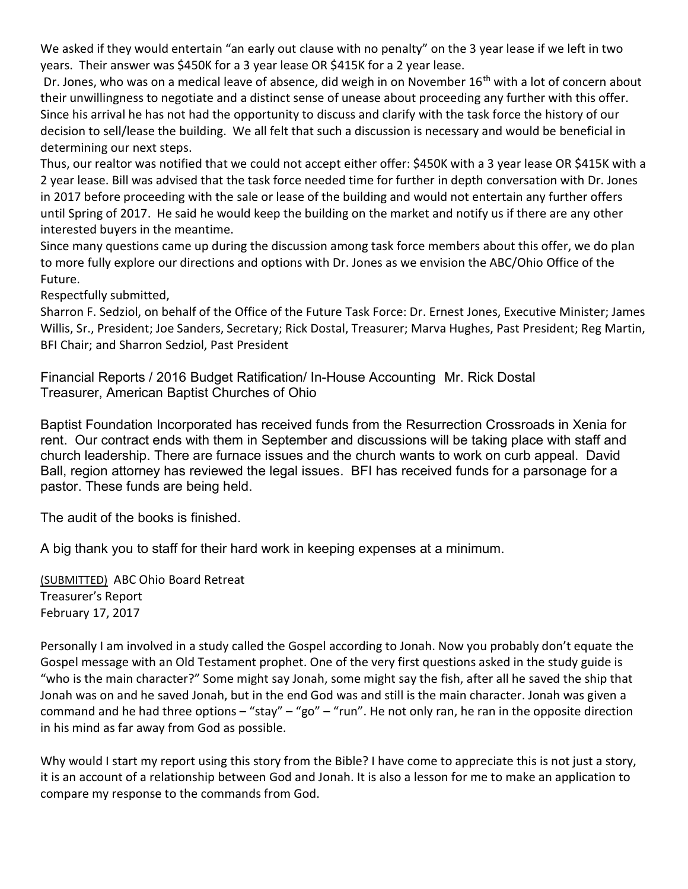We asked if they would entertain "an early out clause with no penalty" on the 3 year lease if we left in two years. Their answer was \$450K for a 3 year lease OR \$415K for a 2 year lease.

Dr. Jones, who was on a medical leave of absence, did weigh in on November 16<sup>th</sup> with a lot of concern about their unwillingness to negotiate and a distinct sense of unease about proceeding any further with this offer. Since his arrival he has not had the opportunity to discuss and clarify with the task force the history of our decision to sell/lease the building. We all felt that such a discussion is necessary and would be beneficial in determining our next steps.

Thus, our realtor was notified that we could not accept either offer: \$450K with a 3 year lease OR \$415K with a 2 year lease. Bill was advised that the task force needed time for further in depth conversation with Dr. Jones in 2017 before proceeding with the sale or lease of the building and would not entertain any further offers until Spring of 2017. He said he would keep the building on the market and notify us if there are any other interested buyers in the meantime.

Since many questions came up during the discussion among task force members about this offer, we do plan to more fully explore our directions and options with Dr. Jones as we envision the ABC/Ohio Office of the Future.

Respectfully submitted,

Sharron F. Sedziol, on behalf of the Office of the Future Task Force: Dr. Ernest Jones, Executive Minister; James Willis, Sr., President; Joe Sanders, Secretary; Rick Dostal, Treasurer; Marva Hughes, Past President; Reg Martin, BFI Chair; and Sharron Sedziol, Past President

Financial Reports / 2016 Budget Ratification/ In-House Accounting Mr. Rick Dostal Treasurer, American Baptist Churches of Ohio

Baptist Foundation Incorporated has received funds from the Resurrection Crossroads in Xenia for rent. Our contract ends with them in September and discussions will be taking place with staff and church leadership. There are furnace issues and the church wants to work on curb appeal. David Ball, region attorney has reviewed the legal issues. BFI has received funds for a parsonage for a pastor. These funds are being held.

The audit of the books is finished.

A big thank you to staff for their hard work in keeping expenses at a minimum.

(SUBMITTED) ABC Ohio Board Retreat Treasurer's Report February 17, 2017

Personally I am involved in a study called the Gospel according to Jonah. Now you probably don't equate the Gospel message with an Old Testament prophet. One of the very first questions asked in the study guide is "who is the main character?" Some might say Jonah, some might say the fish, after all he saved the ship that Jonah was on and he saved Jonah, but in the end God was and still is the main character. Jonah was given a command and he had three options – "stay" – "go" – "run". He not only ran, he ran in the opposite direction in his mind as far away from God as possible.

Why would I start my report using this story from the Bible? I have come to appreciate this is not just a story, it is an account of a relationship between God and Jonah. It is also a lesson for me to make an application to compare my response to the commands from God.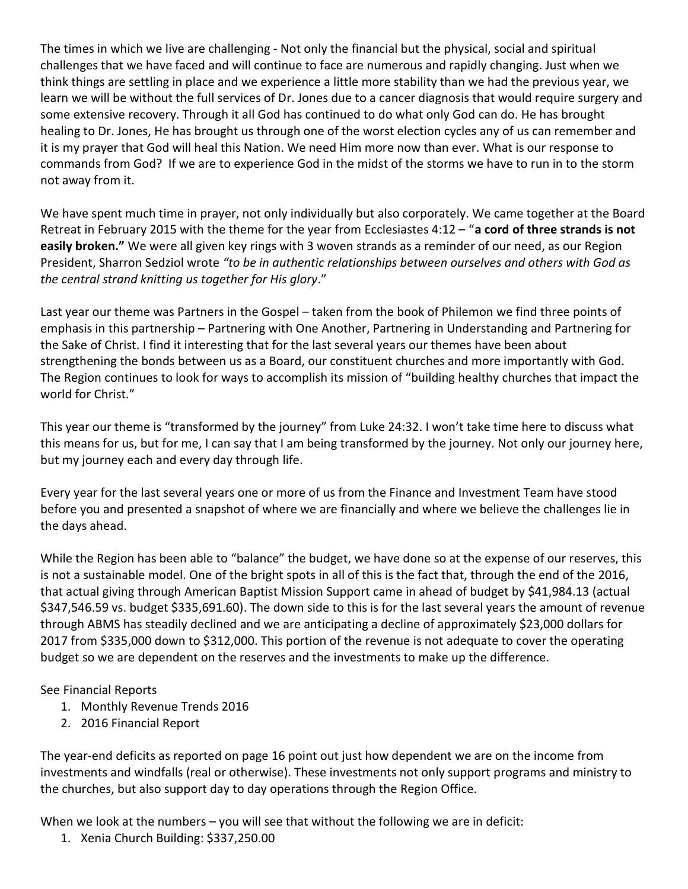The times in which we live are challenging - Not only the financial but the physical, social and spiritual challenges that we have faced and will continue to face are numerous and rapidly changing. Just when we think things are settling in place and we experience a little more stability than we had the previous year, we learn we will be without the full services of Dr. Jones due to a cancer diagnosis that would require surgery and some extensive recovery. Through it all God has continued to do what only God can do. He has brought healing to Dr. Jones, He has brought us through one of the worst election cycles any of us can remember and it is my prayer that God will heal this Nation. We need Him more now than ever. What is our response to commands from God? If we are to experience God in the midst of the storms we have to run in to the storm not away from it.

We have spent much time in prayer, not only individually but also corporately. We came together at the Board Retreat in February 2015 with the theme for the year from Ecclesiastes 4:12 - "a cord of three strands is not easily broken." We were all given key rings with 3 woven strands as a reminder of our need, as our Region President, Sharron Sedziol wrote "to be in authentic relationships between ourselves and others with God as the central strand knitting us together for His glory."

Last year our theme was Partners in the Gospel – taken from the book of Philemon we find three points of emphasis in this partnership – Partnering with One Another, Partnering in Understanding and Partnering for the Sake of Christ. I find it interesting that for the last several years our themes have been about strengthening the bonds between us as a Board, our constituent churches and more importantly with God. The Region continues to look for ways to accomplish its mission of "building healthy churches that impact the world for Christ."

This year our theme is "transformed by the journey" from Luke 24:32. I won't take time here to discuss what this means for us, but for me, I can say that I am being transformed by the journey. Not only our journey here, but my journey each and every day through life.

Every year for the last several years one or more of us from the Finance and Investment Team have stood before you and presented a snapshot of where we are financially and where we believe the challenges lie in the days ahead.

While the Region has been able to "balance" the budget, we have done so at the expense of our reserves, this is not a sustainable model. One of the bright spots in all of this is the fact that, through the end of the 2016, that actual giving through American Baptist Mission Support came in ahead of budget by \$41,984.13 (actual \$347,546.59 vs. budget \$335,691.60). The down side to this is for the last several years the amount of revenue through ABMS has steadily declined and we are anticipating a decline of approximately \$23,000 dollars for 2017 from \$335,000 down to \$312,000. This portion of the revenue is not adequate to cover the operating budget so we are dependent on the reserves and the investments to make up the difference.

#### See Financial Reports

- 1. Monthly Revenue Trends 2016
- 2. 2016 Financial Report

The year-end deficits as reported on page 16 point out just how dependent we are on the income from investments and windfalls (real or otherwise). These investments not only support programs and ministry to the churches, but also support day to day operations through the Region Office.

When we look at the numbers – you will see that without the following we are in deficit:

1. Xenia Church Building: \$337,250.00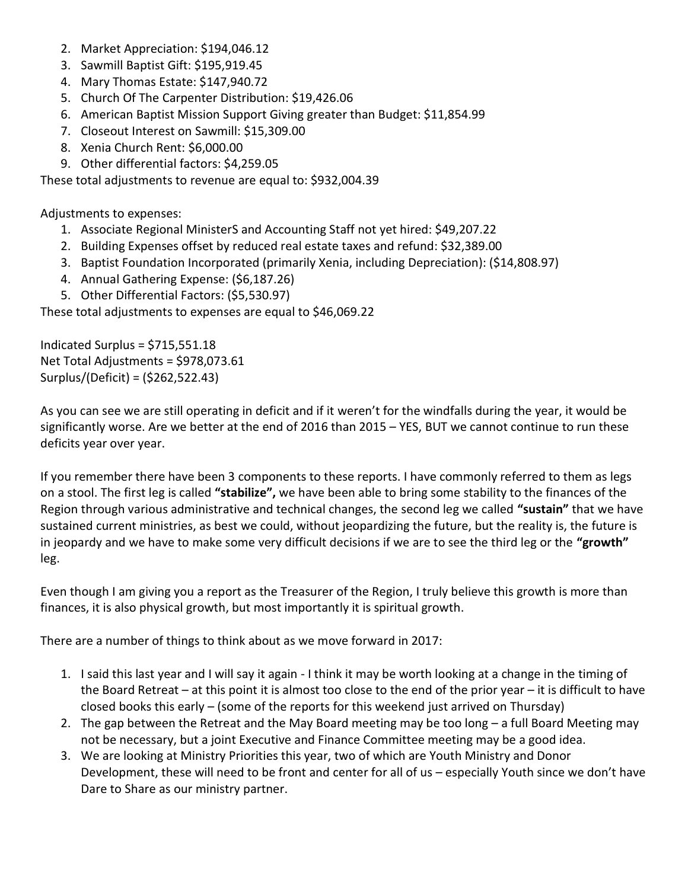- 2. Market Appreciation: \$194,046.12
- 3. Sawmill Baptist Gift: \$195,919.45
- 4. Mary Thomas Estate: \$147,940.72
- 5. Church Of The Carpenter Distribution: \$19,426.06
- 6. American Baptist Mission Support Giving greater than Budget: \$11,854.99
- 7. Closeout Interest on Sawmill: \$15,309.00
- 8. Xenia Church Rent: \$6,000.00
- 9. Other differential factors: \$4,259.05

These total adjustments to revenue are equal to: \$932,004.39

Adjustments to expenses:

- 1. Associate Regional MinisterS and Accounting Staff not yet hired: \$49,207.22
- 2. Building Expenses offset by reduced real estate taxes and refund: \$32,389.00
- 3. Baptist Foundation Incorporated (primarily Xenia, including Depreciation): (\$14,808.97)
- 4. Annual Gathering Expense: (\$6,187.26)
- 5. Other Differential Factors: (\$5,530.97)

These total adjustments to expenses are equal to \$46,069.22

Indicated Surplus = \$715,551.18 Net Total Adjustments = \$978,073.61 Surplus/(Deficit) = (\$262,522.43)

As you can see we are still operating in deficit and if it weren't for the windfalls during the year, it would be significantly worse. Are we better at the end of 2016 than 2015 – YES, BUT we cannot continue to run these deficits year over year.

If you remember there have been 3 components to these reports. I have commonly referred to them as legs on a stool. The first leg is called "stabilize", we have been able to bring some stability to the finances of the Region through various administrative and technical changes, the second leg we called "sustain" that we have sustained current ministries, as best we could, without jeopardizing the future, but the reality is, the future is in jeopardy and we have to make some very difficult decisions if we are to see the third leg or the "growth" leg.

Even though I am giving you a report as the Treasurer of the Region, I truly believe this growth is more than finances, it is also physical growth, but most importantly it is spiritual growth.

There are a number of things to think about as we move forward in 2017:

- 1. I said this last year and I will say it again I think it may be worth looking at a change in the timing of the Board Retreat – at this point it is almost too close to the end of the prior year – it is difficult to have closed books this early – (some of the reports for this weekend just arrived on Thursday)
- 2. The gap between the Retreat and the May Board meeting may be too long a full Board Meeting may not be necessary, but a joint Executive and Finance Committee meeting may be a good idea.
- 3. We are looking at Ministry Priorities this year, two of which are Youth Ministry and Donor Development, these will need to be front and center for all of us – especially Youth since we don't have Dare to Share as our ministry partner.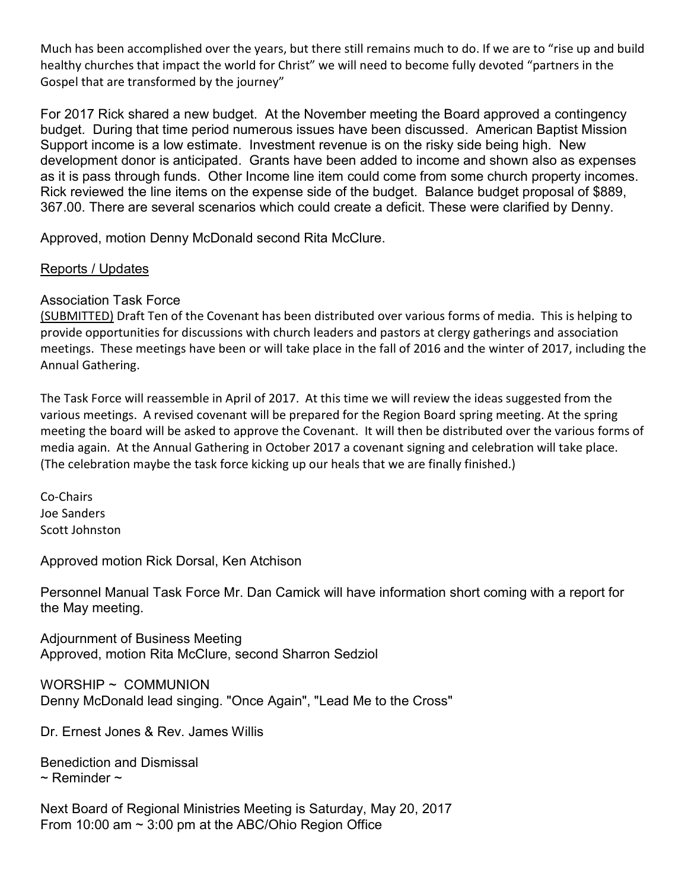Much has been accomplished over the years, but there still remains much to do. If we are to "rise up and build healthy churches that impact the world for Christ" we will need to become fully devoted "partners in the Gospel that are transformed by the journey"

For 2017 Rick shared a new budget. At the November meeting the Board approved a contingency budget. During that time period numerous issues have been discussed. American Baptist Mission Support income is a low estimate. Investment revenue is on the risky side being high. New development donor is anticipated. Grants have been added to income and shown also as expenses as it is pass through funds. Other Income line item could come from some church property incomes. Rick reviewed the line items on the expense side of the budget. Balance budget proposal of \$889, 367.00. There are several scenarios which could create a deficit. These were clarified by Denny.

Approved, motion Denny McDonald second Rita McClure.

#### Reports / Updates

#### Association Task Force

(SUBMITTED) Draft Ten of the Covenant has been distributed over various forms of media. This is helping to provide opportunities for discussions with church leaders and pastors at clergy gatherings and association meetings. These meetings have been or will take place in the fall of 2016 and the winter of 2017, including the Annual Gathering.

The Task Force will reassemble in April of 2017. At this time we will review the ideas suggested from the various meetings. A revised covenant will be prepared for the Region Board spring meeting. At the spring meeting the board will be asked to approve the Covenant. It will then be distributed over the various forms of media again. At the Annual Gathering in October 2017 a covenant signing and celebration will take place. (The celebration maybe the task force kicking up our heals that we are finally finished.)

Co-Chairs Joe Sanders Scott Johnston

Approved motion Rick Dorsal, Ken Atchison

Personnel Manual Task Force Mr. Dan Camick will have information short coming with a report for the May meeting.

Adjournment of Business Meeting Approved, motion Rita McClure, second Sharron Sedziol

WORSHIP ~ COMMUNION Denny McDonald lead singing. "Once Again", "Lead Me to the Cross"

Dr. Ernest Jones & Rev. James Willis

Benediction and Dismissal  $\sim$  Reminder  $\sim$ 

Next Board of Regional Ministries Meeting is Saturday, May 20, 2017 From 10:00 am ~ 3:00 pm at the ABC/Ohio Region Office